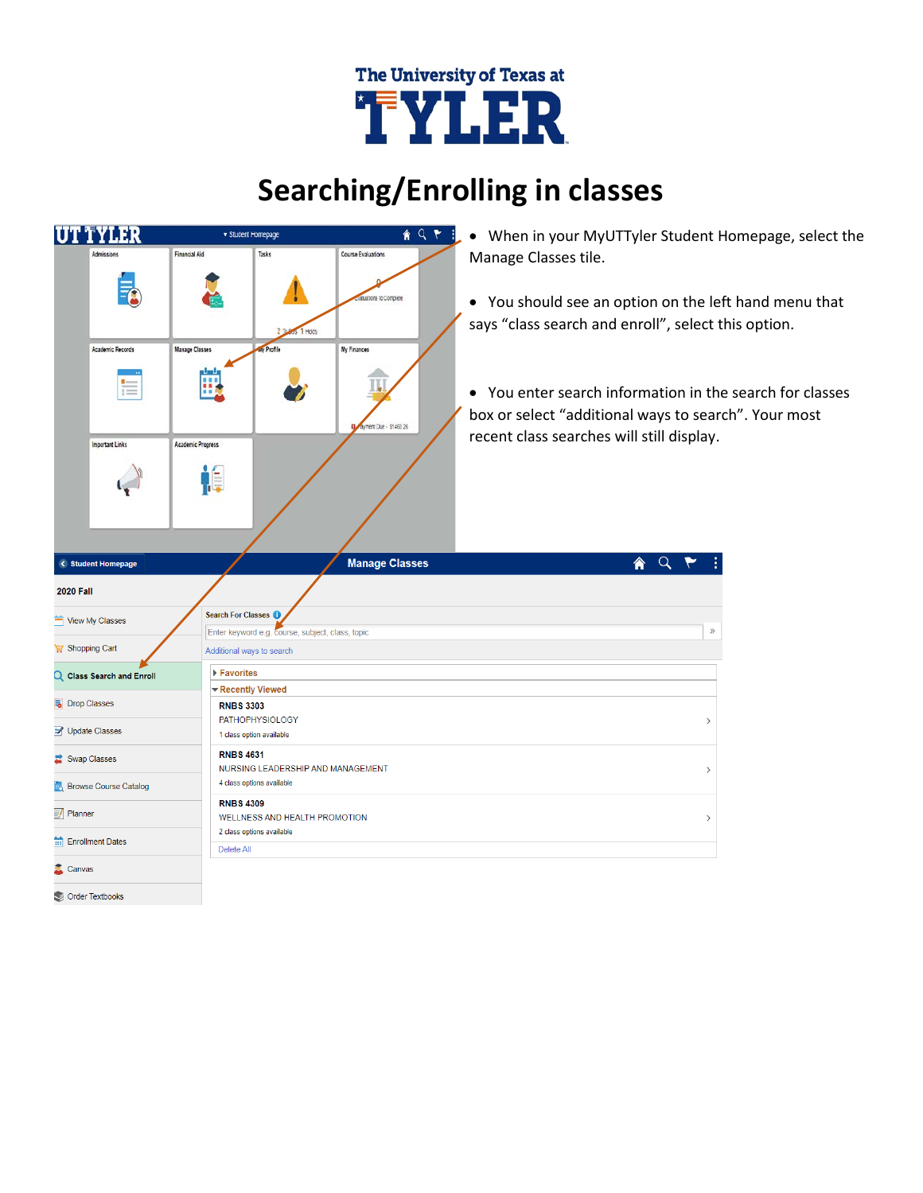## The University of Texas at TYLER

## **Searching/Enrolling in classes**

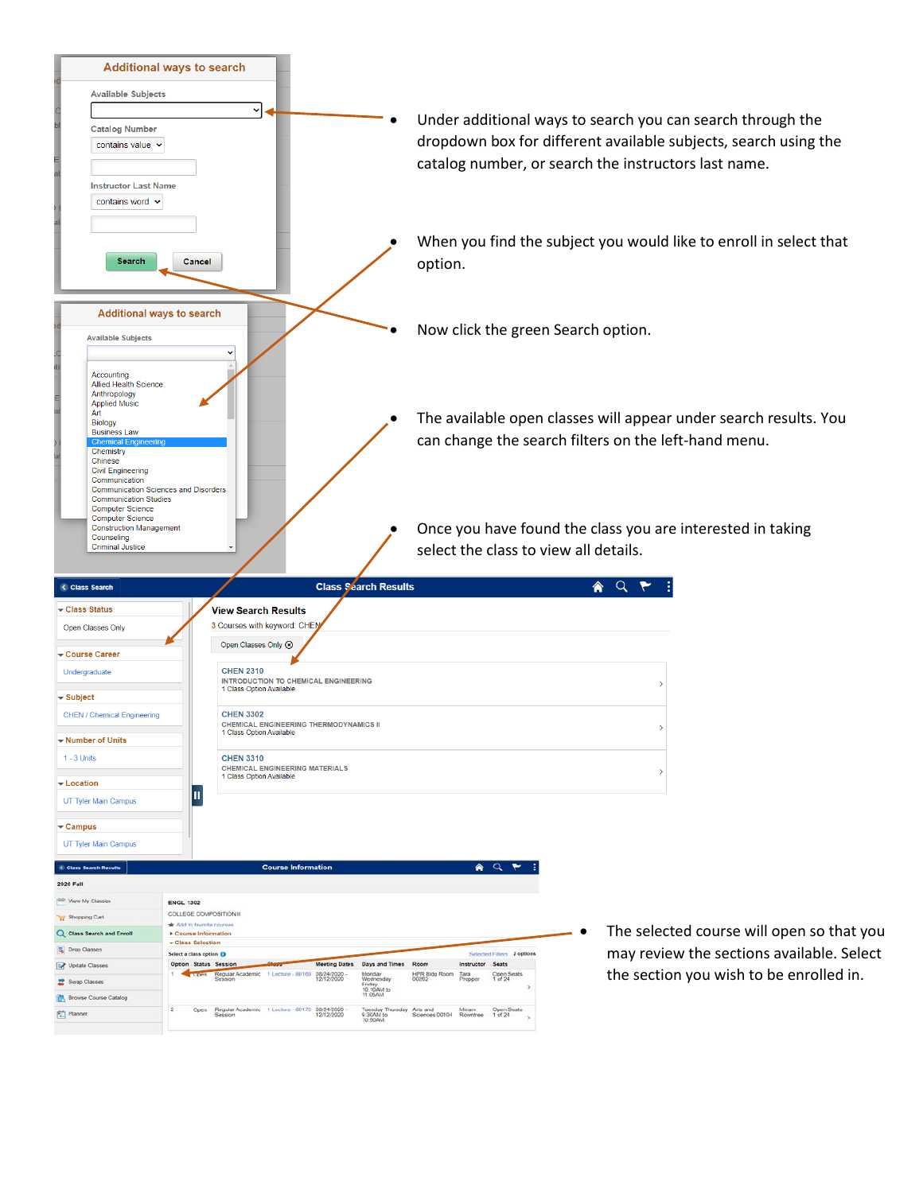